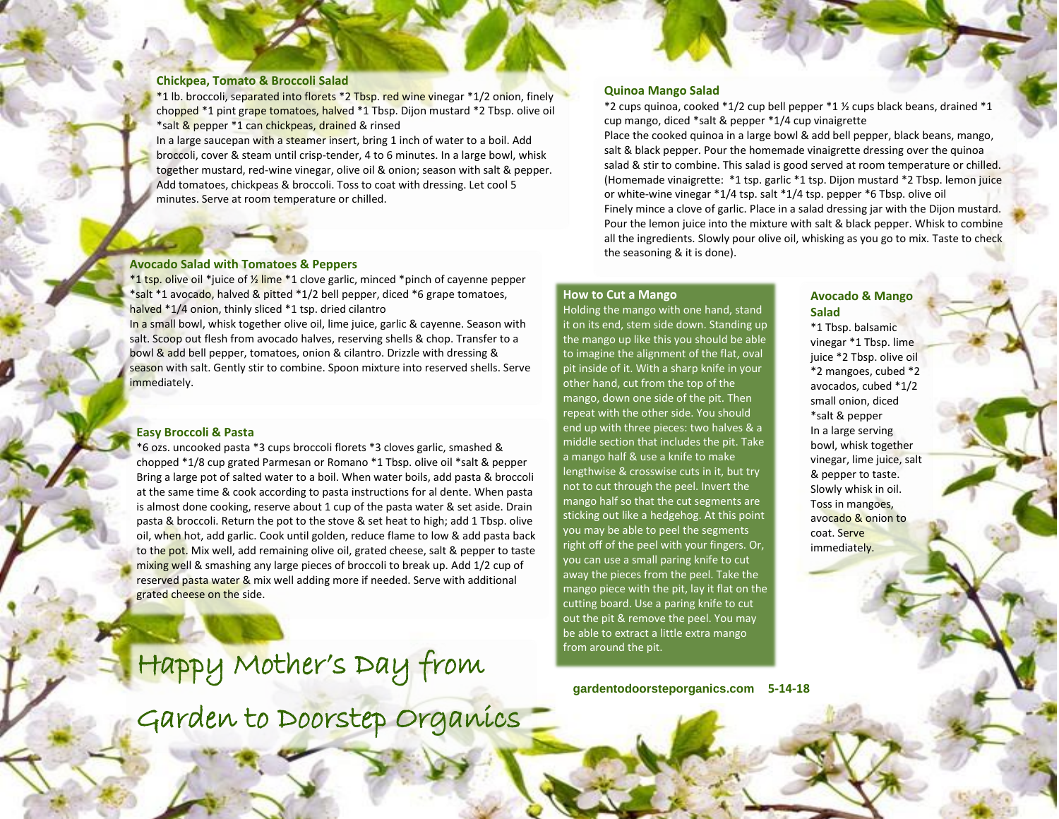#### **Chickpea, Tomato & Broccoli Salad**

\*1 lb. broccoli, separated into florets \*2 Tbsp. red wine vinegar \*1/2 onion, finely chopped \*1 pint grape tomatoes, halved \*1 Tbsp. Dijon mustard \*2 Tbsp. olive oil \*salt & pepper \*1 can chickpeas, drained & rinsed

In a large saucepan with a steamer insert, bring 1 inch of water to a boil. Add broccoli, cover & steam until crisp-tender, 4 to 6 minutes. In a large bowl, whisk together mustard, red-wine vinegar, olive oil & onion; season with salt & pepper. Add tomatoes, chickpeas & broccoli. Toss to coat with dressing. Let cool 5 minutes. Serve at room temperature or chilled.

### **Avocado Salad with Tomatoes & Peppers**

\*1 tsp. olive oil \*juice of 1/<sub>2</sub> lime \*1 clove garlic, minced \*pinch of cayenne pepper \*salt \*1 avocado, halved & pitted \*1/2 bell pepper, diced \*6 grape tomatoes, halved \*1/4 onion, thinly sliced \*1 tsp. dried cilantro

In a small bowl, whisk together olive oil, lime juice, garlic & cayenne. Season with salt. Scoop out flesh from avocado halves, reserving shells & chop. Transfer to a bowl & add bell pepper, tomatoes, onion & cilantro. Drizzle with dressing & season with salt. Gently stir to combine. Spoon mixture into reserved shells. Serve immediately.

## **Easy Broccoli & Pasta**

\*6 ozs. uncooked pasta \*3 cups broccoli florets \*3 cloves garlic, smashed & chopped \*1/8 cup grated Parmesan or Romano \*1 Tbsp. olive oil \*salt & pepper Bring a large pot of salted water to a boil. When water boils, add pasta & broccoli at the same time & cook according to pasta instructions for al dente. When pasta is almost done cooking, reserve about 1 cup of the pasta water & set aside. Drain pasta & broccoli. Return the pot to the stove & set heat to high; add 1 Tbsp. olive oil, when hot, add garlic. Cook until golden, reduce flame to low & add pasta back to the pot. Mix well, add remaining olive oil, grated cheese, salt & pepper to taste mixing well & smashing any large pieces of broccoli to break up. Add 1/2 cup of reserved pasta water & mix well adding more if needed. Serve with additional grated cheese on the side.

Happy Mother's Day from

Garden to Doorstep Organics

## **Quinoa Mango Salad**

\*2 cups quinoa, cooked \*1/2 cup bell pepper \*1 ½ cups black beans, drained \*1 cup mango, diced \*salt & pepper \*1/4 cup vinaigrette

Place the cooked quinoa in a large bowl & add bell pepper, black beans, mango, salt & black pepper. Pour the homemade vinaigrette dressing over the quinoa salad & stir to combine. This salad is good served at room temperature or chilled. (Homemade vinaigrette: \*1 tsp. garlic \*1 tsp. Dijon mustard \*2 Tbsp. lemon juice or white-wine vinegar \*1/4 tsp. salt \*1/4 tsp. pepper \*6 Tbsp. olive oil Finely mince a clove of garlic. Place in a salad dressing jar with the Dijon mustard. Pour the lemon juice into the mixture with salt & black pepper. Whisk to combine all the ingredients. Slowly pour olive oil, whisking as you go to mix. Taste to check the seasoning & it is done).

#### **How to Cut a Mango**

Holding the mango with one hand, stand it on its end, stem side down. Standing up the mango up like this you should be able to imagine the alignment of the flat, oval pit inside of it. With a sharp knife in your other hand, cut from the top of the mango, down one side of the pit. Then repeat with the other side. You should end up with three pieces: two halves & a middle section that includes the pit. Take a mango half & use a knife to make lengthwise & crosswise cuts in it, but try not to cut through the peel. Invert the mango half so that the cut segments are sticking out like a hedgehog. At this point you may be able to peel the segments right off of the peel with your fingers. Or, you can use a small paring knife to cut away the pieces from the peel. Take the mango piece with the pit, lay it flat on the cutting board. Use a paring knife to cut out the pit & remove the peel. You may be able to extract a little extra mango from around the pit.

**gardentodoorsteporganics.com 5-14-18**

# **Avocado & Mango Salad**

\*1 Tbsp. balsamic vinegar \*1 Tbsp. lime juice \*2 Tbsp. olive oil \*2 mangoes, cubed \*2 avocados, cubed \*1/2 small onion, diced \*salt & pepper In a large serving bowl, whisk together vinegar, lime juice, salt & pepper to taste. Slowly whisk in oil. Toss in mangoes, avocado & onion to coat. Serve immediately.